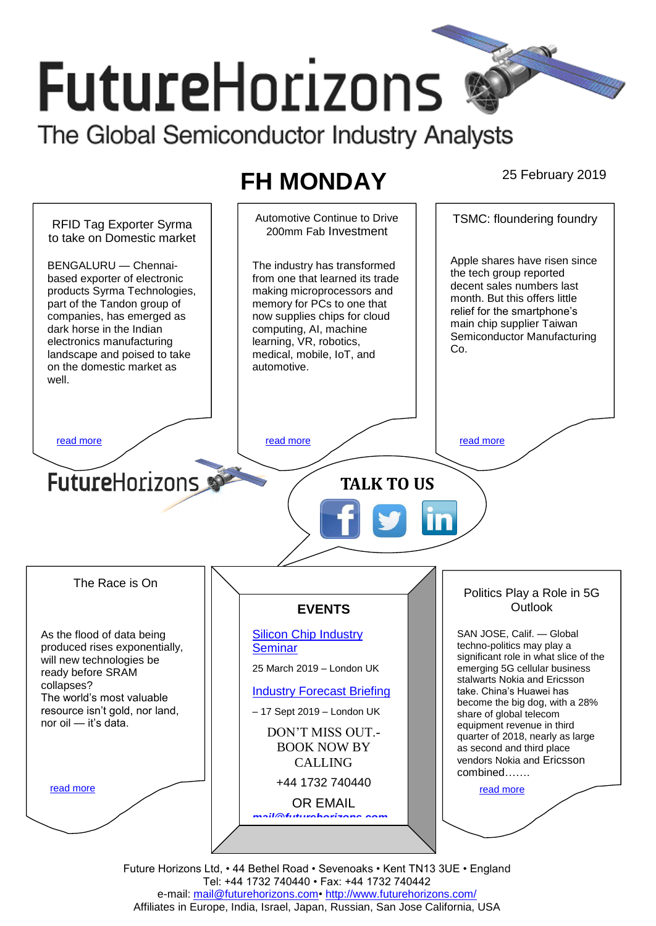# **FutureHorizons** The Global Semiconductor Industry Analysts

## **FH MONDAY** 25 February 2019



Future Horizons Ltd, • 44 Bethel Road • Sevenoaks • Kent TN13 3UE • England Tel: +44 1732 740440 • Fax: +44 1732 740442 e-mail: mail@futurehorizons.com• http://www.futurehorizons.com/ Affiliates in Europe, India, Israel, Japan, Russian, San Jose California, USA